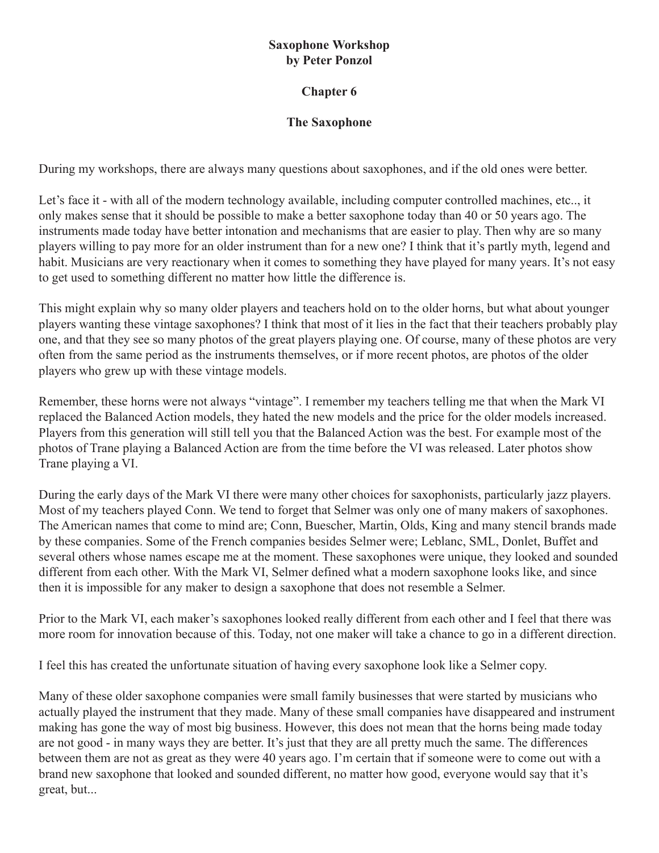## **Saxophone Workshop by Peter Ponzol**

## **Chapter 6**

## **The Saxophone**

During my workshops, there are always many questions about saxophones, and if the old ones were better.

Let's face it - with all of the modern technology available, including computer controlled machines, etc.., it only makes sense that it should be possible to make a better saxophone today than 40 or 50 years ago. The instruments made today have better intonation and mechanisms that are easier to play. Then why are so many players willing to pay more for an older instrument than for a new one? I think that it's partly myth, legend and habit. Musicians are very reactionary when it comes to something they have played for many years. It's not easy to get used to something different no matter how little the difference is.

This might explain why so many older players and teachers hold on to the older horns, but what about younger players wanting these vintage saxophones? I think that most of it lies in the fact that their teachers probably play one, and that they see so many photos of the great players playing one. Of course, many of these photos are very often from the same period as the instruments themselves, or if more recent photos, are photos of the older players who grew up with these vintage models.

Remember, these horns were not always "vintage". I remember my teachers telling me that when the Mark VI replaced the Balanced Action models, they hated the new models and the price for the older models increased. Players from this generation will still tell you that the Balanced Action was the best. For example most of the photos of Trane playing a Balanced Action are from the time before the VI was released. Later photos show Trane playing a VI.

During the early days of the Mark VI there were many other choices for saxophonists, particularly jazz players. Most of my teachers played Conn. We tend to forget that Selmer was only one of many makers of saxophones. The American names that come to mind are; Conn, Buescher, Martin, Olds, King and many stencil brands made by these companies. Some of the French companies besides Selmer were; Leblanc, SML, Donlet, Buffet and several others whose names escape me at the moment. These saxophones were unique, they looked and sounded different from each other. With the Mark VI, Selmer defined what a modern saxophone looks like, and since then it is impossible for any maker to design a saxophone that does not resemble a Selmer.

Prior to the Mark VI, each maker's saxophones looked really different from each other and I feel that there was more room for innovation because of this. Today, not one maker will take a chance to go in a different direction.

I feel this has created the unfortunate situation of having every saxophone look like a Selmer copy.

Many of these older saxophone companies were small family businesses that were started by musicians who actually played the instrument that they made. Many of these small companies have disappeared and instrument making has gone the way of most big business. However, this does not mean that the horns being made today are not good - in many ways they are better. It's just that they are all pretty much the same. The differences between them are not as great as they were 40 years ago. I'm certain that if someone were to come out with a brand new saxophone that looked and sounded different, no matter how good, everyone would say that it's great, but...